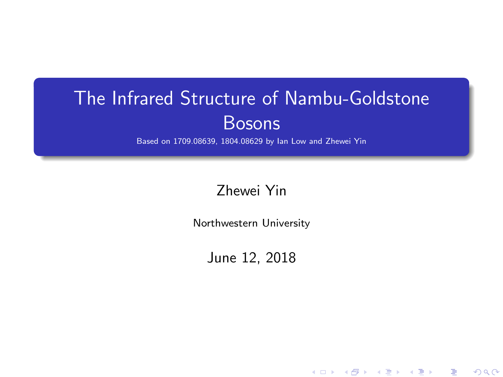## The Infrared Structure of Nambu-Goldstone Bosons

Based on 1709.08639, 1804.08629 by Ian Low and Zhewei Yin

Zhewei Yin

Northwestern University

June 12, 2018

K ロ ▶ (K@) ▶ (대 결 > (제 결 > ) ( 결)

 $2Q$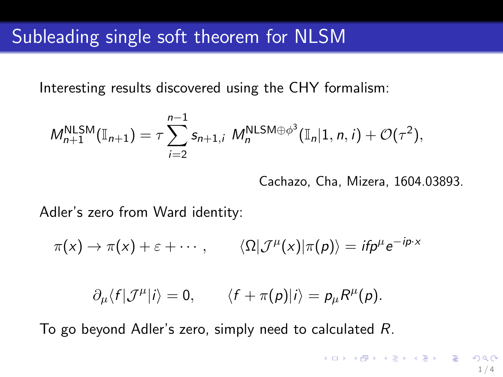Interesting results discovered using the CHY formalism:

$$
M_{n+1}^{\text{NLSM}}(\mathbb{I}_{n+1}) = \tau \sum_{i=2}^{n-1} s_{n+1,i} M_n^{\text{NLSM}\oplus\phi^3}(\mathbb{I}_n|1,n,i) + \mathcal{O}(\tau^2),
$$

Cachazo, Cha, Mizera, 1604.03893.

Adler's zero from Ward identity:

 $\pi(x)\to \pi(x)+\varepsilon+\cdots\,,\qquad \langle\Omega|{\cal J}^\mu(x)|\pi(\pmb{\rho})\rangle=if \pmb{\rho}^\mu e^{-i\pmb{\rho}\cdot\pmb{x}}$ 

 $\partial_{\mu}\langle f|\mathcal{J}^{\mu}|i\rangle = 0, \qquad \langle f+\pi(p)|i\rangle = p_{\mu}R^{\mu}(p).$ 

To go beyond Adler's zero, simply need to calculated R.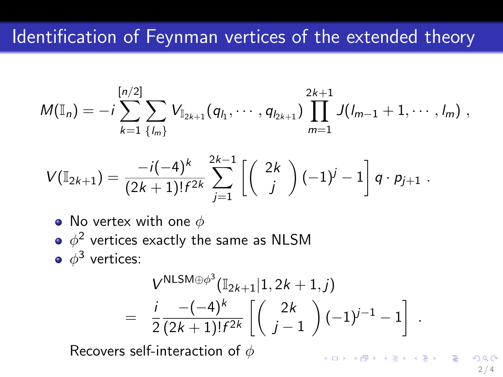## Identification of Feynman vertices of the extended theory

$$
M(\mathbb{I}_n) = -i \sum_{k=1}^{[n/2]} \sum_{\{l_m\}} V_{\mathbb{I}_{2k+1}}(q_{l_1}, \cdots, q_{l_{2k+1}}) \prod_{m=1}^{2k+1} J(l_{m-1}+1, \cdots, l_m) ,
$$

$$
V(\mathbb{I}_{2k+1}) = \frac{-i(-4)^k}{(2k+1)!f^{2k}} \sum_{j=1}^{2k-1} \left[ \begin{pmatrix} 2k \\ j \end{pmatrix} (-1)^j - 1 \right] q \cdot p_{j+1} .
$$

- No vertex with one  $\phi$
- $\phi^2$  vertices exactly the same as <code>NLSM</code>

 $\phi^3$  vertices:

$$
V^{\text{NLSM}\oplus\phi^3}(\mathbb{I}_{2k+1}|1, 2k+1, j)
$$
  
=  $\frac{i}{2} \frac{-(-4)^k}{(2k+1)!f^{2k}} \left[ \binom{2k}{j-1} (-1)^{j-1} - 1 \right]$ 

Recovers self-interaction of  $\phi$ 

イロト イ部 トメ ミト メミト 一毛  $2/4$ 

.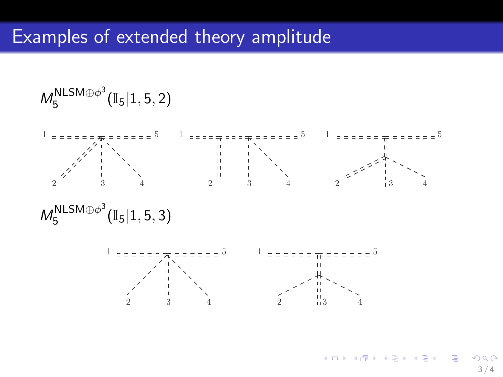$$
\mathit{M}_{5}^{NLSM\oplus\phi^{3}}(\mathbb{I}_{5}|1,5,2)
$$



$$
\text{M}_5^{NLSM\oplus\phi^3}(\mathbb{I}_5|1,5,3)
$$



4 D F メタトメ ミトメ ミト **E**  $\Omega$  $3/4$